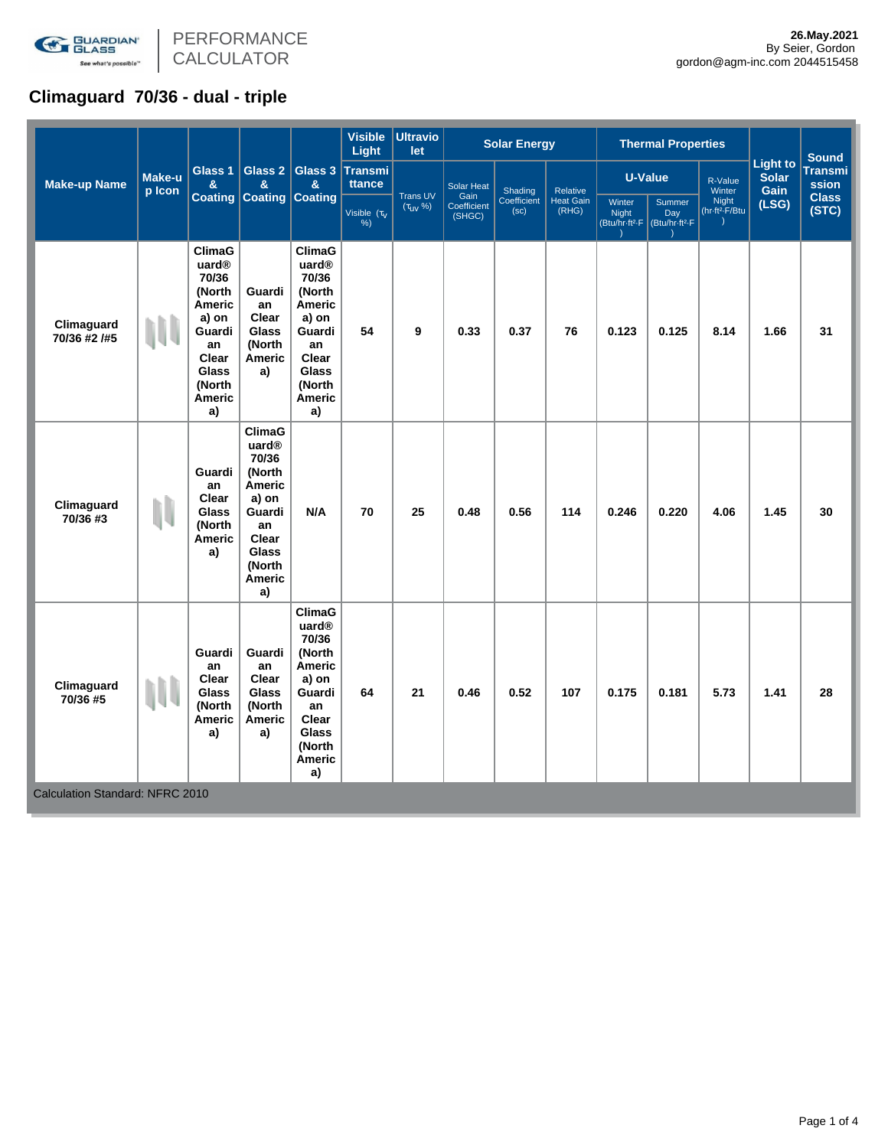

PERFORMANCE CALCULATOR

# **Climaguard 70/36 - dual - triple**

| <b>Make-up Name</b>                                       | Make-u<br>p Icon | Glass 1<br>&<br><b>Coating</b>                                                                                                                            | Glass 2<br>&<br><b>Coating Coating</b>                                                                                   | Glass 3<br>&                                                                                                                                       | <b>Visible</b><br>Light  | <b>Ultravio</b><br>let                    |                       | <b>Solar Energy</b>            |                                       | <b>Thermal Properties</b>                            |                                             |                                     |                                         | <b>Sound</b>            |
|-----------------------------------------------------------|------------------|-----------------------------------------------------------------------------------------------------------------------------------------------------------|--------------------------------------------------------------------------------------------------------------------------|----------------------------------------------------------------------------------------------------------------------------------------------------|--------------------------|-------------------------------------------|-----------------------|--------------------------------|---------------------------------------|------------------------------------------------------|---------------------------------------------|-------------------------------------|-----------------------------------------|-------------------------|
|                                                           |                  |                                                                                                                                                           |                                                                                                                          |                                                                                                                                                    | <b>Transmi</b><br>ttance | Solar Heat<br>Gain                        |                       | Shading<br>Coefficient<br>(sc) | Relative<br><b>Heat Gain</b><br>(RHG) | <b>U-Value</b>                                       |                                             | R-Value<br>Winter                   | <b>Light to</b><br><b>Solar</b><br>Gain | <b>Transmi</b><br>ssion |
|                                                           |                  |                                                                                                                                                           |                                                                                                                          |                                                                                                                                                    | Visible $(\tau_V)$<br>%  | <b>Trans UV</b><br>$(\tau_{\text{UV}}$ %) | Coefficient<br>(SHGC) |                                |                                       | Winter<br><b>Night</b><br>(Btu/hr-ft <sup>2</sup> -F | Summer<br>Day<br>(Btu/hr-ft <sup>2</sup> -F | Night<br>(hr-ft <sup>2</sup> -F/Btu | (LSG)                                   | <b>Class</b><br>(STC)   |
| Climaguard<br>70/36 #2 /#5                                |                  | <b>ClimaG</b><br>uard <sup>®</sup><br>70/36<br>(North<br><b>Americ</b><br>a) on<br>Guardi<br>an<br>Clear<br><b>Glass</b><br>(North<br><b>Americ</b><br>a) | Guardi<br>an<br>Clear<br>Glass<br>(North<br>Americ<br>a)                                                                 | <b>ClimaG</b><br>uard <sup>®</sup><br>70/36<br>(North<br>Americ<br>a) on<br>Guardi<br>an<br>Clear<br>Glass<br>(North<br><b>Americ</b><br>a)        | 54                       | 9                                         | 0.33                  | 0.37                           | 76                                    | 0.123                                                | 0.125                                       | 8.14                                | 1.66                                    | 31                      |
| Climaguard<br>70/36 #3                                    | N                | Guardi<br>an<br>Clear<br><b>Glass</b><br>(North<br><b>Americ</b><br>a)                                                                                    | ClimaG<br>uard®<br>70/36<br>(North<br>Americ<br>a) on<br>Guardi<br>an<br>Clear<br><b>Glass</b><br>(North<br>Americ<br>a) | N/A                                                                                                                                                | 70                       | 25                                        | 0.48                  | 0.56                           | 114                                   | 0.246                                                | 0.220                                       | 4.06                                | 1.45                                    | 30                      |
| Climaguard<br>70/36 #5<br>Calculation Standard: NFRC 2010 |                  | Guardi<br>an<br>Clear<br><b>Glass</b><br>(North<br><b>Americ</b><br>a)                                                                                    | Guardi<br>an<br>Clear<br>Glass<br>(North<br>Americ<br>a)                                                                 | <b>ClimaG</b><br>uard <sup>®</sup><br>70/36<br>(North<br><b>Americ</b><br>a) on<br>Guardi<br>an<br>Clear<br>Glass<br>(North<br><b>Americ</b><br>a) | 64                       | 21                                        | 0.46                  | 0.52                           | 107                                   | 0.175                                                | 0.181                                       | 5.73                                | 1.41                                    | 28                      |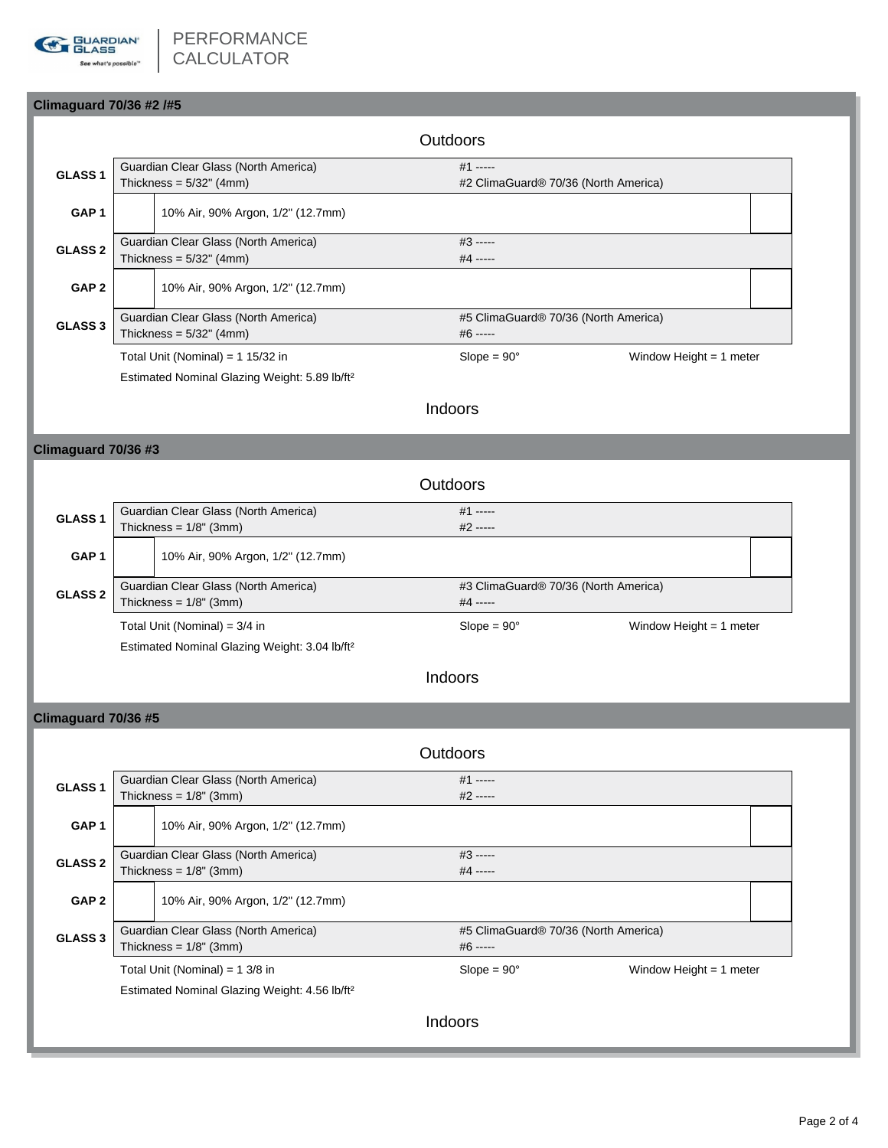

### **Climaguard 70/36 #2 /#5**

|                    |                                                           |                                      | <b>Outdoors</b> |                                      |                         |  |  |  |
|--------------------|-----------------------------------------------------------|--------------------------------------|-----------------|--------------------------------------|-------------------------|--|--|--|
| GLASS <sub>1</sub> |                                                           | Guardian Clear Glass (North America) |                 | $#1$ -----                           |                         |  |  |  |
|                    |                                                           | Thickness = $5/32$ " (4mm)           |                 | #2 ClimaGuard® 70/36 (North America) |                         |  |  |  |
| GAP <sub>1</sub>   |                                                           | 10% Air, 90% Argon, 1/2" (12.7mm)    |                 |                                      |                         |  |  |  |
| <b>GLASS 2</b>     | Guardian Clear Glass (North America)                      |                                      |                 | $#3$ -----                           |                         |  |  |  |
|                    | Thickness = $5/32$ " (4mm)                                |                                      |                 | $#4$ -----                           |                         |  |  |  |
| GAP <sub>2</sub>   |                                                           | 10% Air, 90% Argon, 1/2" (12.7mm)    |                 |                                      |                         |  |  |  |
| <b>GLASS 3</b>     | Guardian Clear Glass (North America)                      |                                      |                 | #5 ClimaGuard® 70/36 (North America) |                         |  |  |  |
|                    | Thickness = $5/32$ " (4mm)                                |                                      |                 | $#6$ -----                           |                         |  |  |  |
|                    | Total Unit (Nominal) = $1\frac{15}{32}$ in                |                                      |                 | $Slope = 90^\circ$                   | Window Height = 1 meter |  |  |  |
|                    | Estimated Nominal Glazing Weight: 5.89 lb/ft <sup>2</sup> |                                      |                 |                                      |                         |  |  |  |

# Indoors

## **Climaguard 70/36 #3**

|                  |                                      |                                                           | Outdoors                             |                           |  |  |  |
|------------------|--------------------------------------|-----------------------------------------------------------|--------------------------------------|---------------------------|--|--|--|
| <b>GLASS1</b>    |                                      | Guardian Clear Glass (North America)                      | $#1$ -----                           |                           |  |  |  |
|                  |                                      | Thickness = $1/8$ " (3mm)                                 | $#2$ -----                           |                           |  |  |  |
| GAP <sub>1</sub> |                                      | 10% Air, 90% Argon, 1/2" (12.7mm)                         |                                      |                           |  |  |  |
| <b>GLASS 2</b>   | Guardian Clear Glass (North America) |                                                           | #3 ClimaGuard® 70/36 (North America) |                           |  |  |  |
|                  |                                      | Thickness = $1/8$ " (3mm)                                 | $#4$ -----                           |                           |  |  |  |
|                  | Total Unit (Nominal) = $3/4$ in      |                                                           | $Slope = 90^\circ$                   | Window Height $= 1$ meter |  |  |  |
|                  |                                      | Estimated Nominal Glazing Weight: 3.04 lb/ft <sup>2</sup> |                                      |                           |  |  |  |

# Indoors

### **Climaguard 70/36 #5**

|                    |                                      |                                                           |  | Outdoors                             |                           |  |  |  |
|--------------------|--------------------------------------|-----------------------------------------------------------|--|--------------------------------------|---------------------------|--|--|--|
| GLASS <sub>1</sub> |                                      | Guardian Clear Glass (North America)                      |  | $#1$ -----                           |                           |  |  |  |
|                    |                                      | Thickness = $1/8$ " (3mm)                                 |  | $#2$ -----                           |                           |  |  |  |
| GAP <sub>1</sub>   |                                      | 10% Air, 90% Argon, 1/2" (12.7mm)                         |  |                                      |                           |  |  |  |
| <b>GLASS 2</b>     | Guardian Clear Glass (North America) |                                                           |  | $#3$ -----                           |                           |  |  |  |
|                    |                                      | Thickness = $1/8$ " (3mm)                                 |  | $#4$ -----                           |                           |  |  |  |
| GAP <sub>2</sub>   |                                      | 10% Air, 90% Argon, 1/2" (12.7mm)                         |  |                                      |                           |  |  |  |
| <b>GLASS 3</b>     |                                      | Guardian Clear Glass (North America)                      |  | #5 ClimaGuard® 70/36 (North America) |                           |  |  |  |
|                    | Thickness = $1/8$ " (3mm)            |                                                           |  | #6 -----                             |                           |  |  |  |
|                    |                                      | Total Unit (Nominal) = $1 \frac{3}{8}$ in                 |  | $Slope = 90^{\circ}$                 | Window Height $=$ 1 meter |  |  |  |
|                    |                                      | Estimated Nominal Glazing Weight: 4.56 lb/ft <sup>2</sup> |  |                                      |                           |  |  |  |
|                    |                                      |                                                           |  | Indoors                              |                           |  |  |  |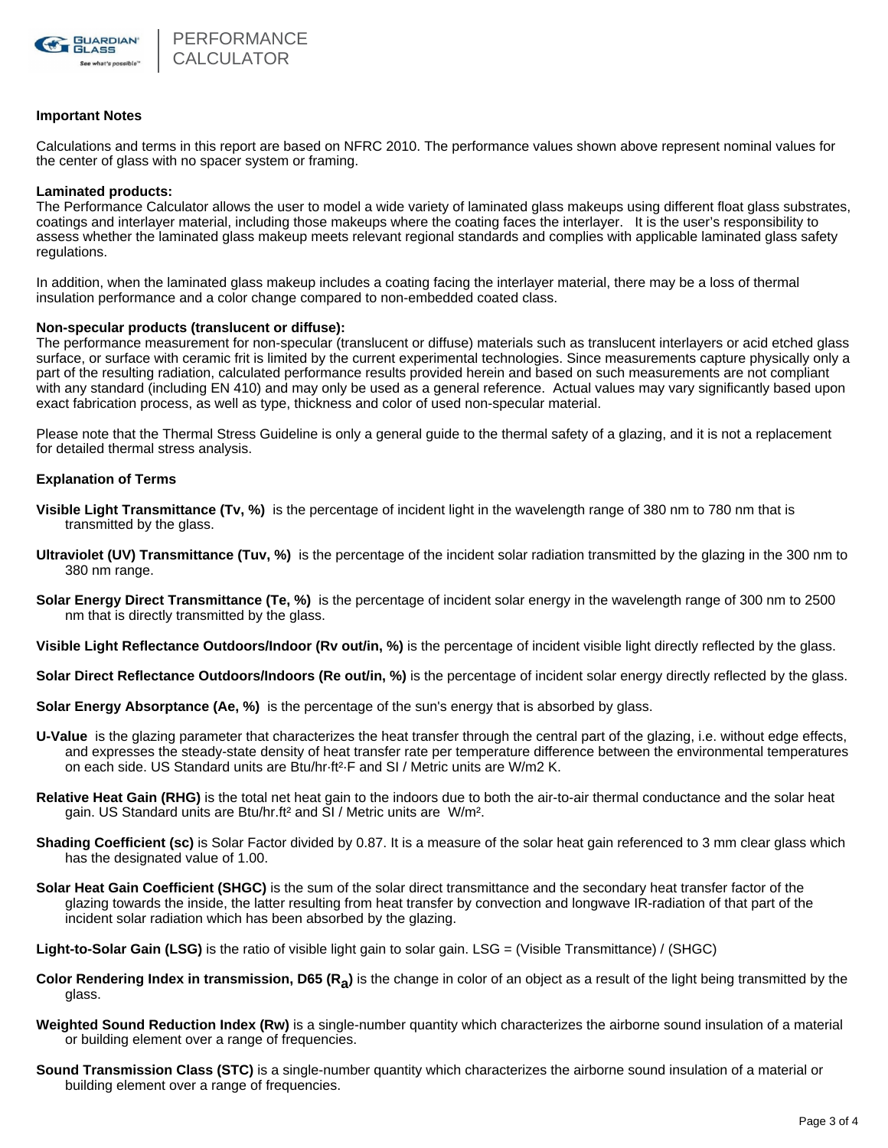

#### **Important Notes**

Calculations and terms in this report are based on NFRC 2010. The performance values shown above represent nominal values for the center of glass with no spacer system or framing.

#### **Laminated products:**

The Performance Calculator allows the user to model a wide variety of laminated glass makeups using different float glass substrates, coatings and interlayer material, including those makeups where the coating faces the interlayer. It is the user's responsibility to assess whether the laminated glass makeup meets relevant regional standards and complies with applicable laminated glass safety regulations.

In addition, when the laminated glass makeup includes a coating facing the interlayer material, there may be a loss of thermal insulation performance and a color change compared to non-embedded coated class.

#### **Non-specular products (translucent or diffuse):**

The performance measurement for non-specular (translucent or diffuse) materials such as translucent interlayers or acid etched glass surface, or surface with ceramic frit is limited by the current experimental technologies. Since measurements capture physically only a part of the resulting radiation, calculated performance results provided herein and based on such measurements are not compliant with any standard (including EN 410) and may only be used as a general reference. Actual values may vary significantly based upon exact fabrication process, as well as type, thickness and color of used non-specular material.

Please note that the Thermal Stress Guideline is only a general guide to the thermal safety of a glazing, and it is not a replacement for detailed thermal stress analysis.

#### **Explanation of Terms**

- **Visible Light Transmittance (Tv, %)** is the percentage of incident light in the wavelength range of 380 nm to 780 nm that is transmitted by the glass.
- **Ultraviolet (UV) Transmittance (Tuv, %)** is the percentage of the incident solar radiation transmitted by the glazing in the 300 nm to 380 nm range.
- **Solar Energy Direct Transmittance (Te, %)** is the percentage of incident solar energy in the wavelength range of 300 nm to 2500 nm that is directly transmitted by the glass.

**Visible Light Reflectance Outdoors/Indoor (Rv out/in, %)** is the percentage of incident visible light directly reflected by the glass.

**Solar Direct Reflectance Outdoors/Indoors (Re out/in, %)** is the percentage of incident solar energy directly reflected by the glass.

**Solar Energy Absorptance (Ae, %)** is the percentage of the sun's energy that is absorbed by glass.

- **U-Value** is the glazing parameter that characterizes the heat transfer through the central part of the glazing, i.e. without edge effects, and expresses the steady-state density of heat transfer rate per temperature difference between the environmental temperatures on each side. US Standard units are Btu/hr·ft²·F and SI / Metric units are W/m2 K.
- **Relative Heat Gain (RHG)** is the total net heat gain to the indoors due to both the air-to-air thermal conductance and the solar heat gain. US Standard units are Btu/hr.ft² and SI / Metric units are W/m².
- **Shading Coefficient (sc)** is Solar Factor divided by 0.87. It is a measure of the solar heat gain referenced to 3 mm clear glass which has the designated value of 1.00.
- **Solar Heat Gain Coefficient (SHGC)** is the sum of the solar direct transmittance and the secondary heat transfer factor of the glazing towards the inside, the latter resulting from heat transfer by convection and longwave IR-radiation of that part of the incident solar radiation which has been absorbed by the glazing.

**Light-to-Solar Gain (LSG)** is the ratio of visible light gain to solar gain. LSG = (Visible Transmittance) / (SHGC)

- Color Rendering Index in transmission, D65 (R<sub>a</sub>) is the change in color of an object as a result of the light being transmitted by the glass.
- **Weighted Sound Reduction Index (Rw)** is a single-number quantity which characterizes the airborne sound insulation of a material or building element over a range of frequencies.
- **Sound Transmission Class (STC)** is a single-number quantity which characterizes the airborne sound insulation of a material or building element over a range of frequencies.